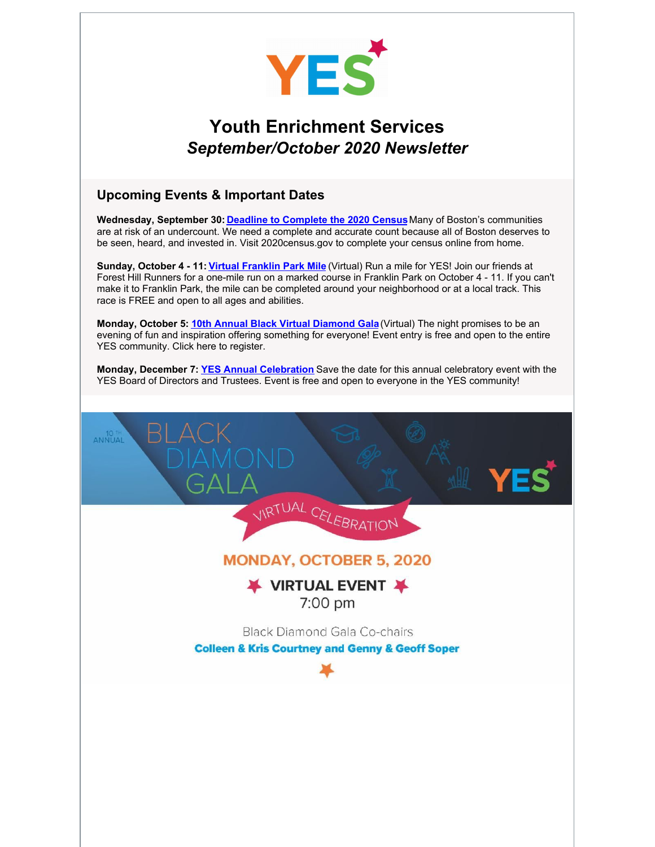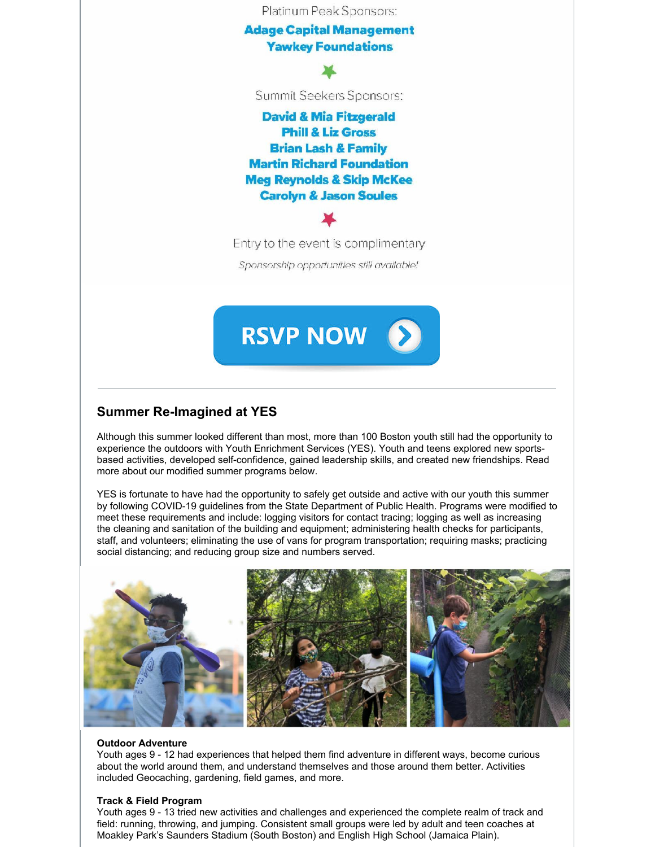

# **Summer Re-Imagined at YES**

Although this summer looked different than most, more than 100 Boston youth still had the opportunity to experience the outdoors with Youth Enrichment Services (YES). Youth and teens explored new sportsbased activities, developed self-confidence, gained leadership skills, and created new friendships. Read more about our modified summer programs below.

YES is fortunate to have had the opportunity to safely get outside and active with our youth this summer by following COVID-19 guidelines from the State Department of Public Health. Programs were modified to meet these requirements and include: logging visitors for contact tracing; logging as well as increasing the cleaning and sanitation of the building and equipment; administering health checks for participants, staff, and volunteers; eliminating the use of vans for program transportation; requiring masks; practicing social distancing; and reducing group size and numbers served.



### **Outdoor Adventure**

Youth ages 9 - 12 had experiences that helped them find adventure in different ways, become curious about the world around them, and understand themselves and those around them better. Activities included Geocaching, gardening, field games, and more.

#### **Track & Field Program**

Youth ages 9 - 13 tried new activities and challenges and experienced the complete realm of track and field: running, throwing, and jumping. Consistent small groups were led by adult and teen coaches at Moakley Park's Saunders Stadium (South Boston) and English High School (Jamaica Plain).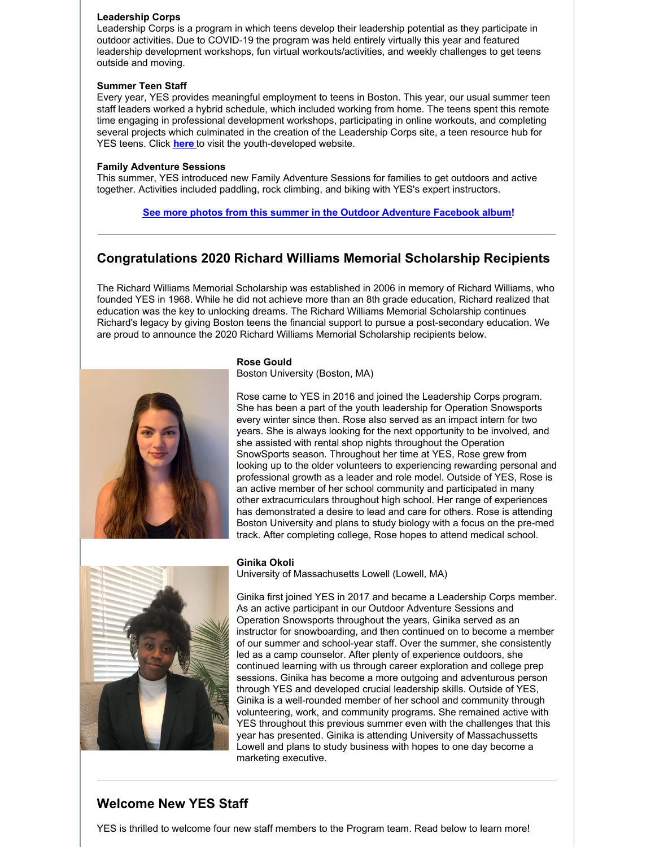### **Leadership Corps**

Leadership Corps is a program in which teens develop their leadership potential as they participate in outdoor activities. Due to COVID-19 the program was held entirely virtually this year and featured leadership development workshops, fun virtual workouts/activities, and weekly challenges to get teens outside and moving.

### **Summer Teen Staff**

Every year, YES provides meaningful employment to teens in Boston. This year, our usual summer teen staff leaders worked a hybrid schedule, which included working from home. The teens spent this remote time engaging in professional development workshops, participating in online workouts, and completing several projects which culminated in the creation of the Leadership Corps site, a teen resource hub for YES teens. Click **[here](https://lcatyes.mailchimpsites.com/)** to visit the youth-developed website.

### **Family Adventure Sessions**

This summer, YES introduced new Family Adventure Sessions for families to get outdoors and active together. Activities included paddling, rock climbing, and biking with YES's expert instructors.

**See more photos from this summer in the Outdoor [Adventure](https://www.facebook.com/media/set/?vanity=yeskidsboston&set=a.10158453649396224) Facebook album!**

# **Congratulations 2020 Richard Williams Memorial Scholarship Recipients**

The Richard Williams Memorial Scholarship was established in 2006 in memory of Richard Williams, who founded YES in 1968. While he did not achieve more than an 8th grade education, Richard realized that education was the key to unlocking dreams. The Richard Williams Memorial Scholarship continues Richard's legacy by giving Boston teens the financial support to pursue a post-secondary education. We are proud to announce the 2020 Richard Williams Memorial Scholarship recipients below.



## **Rose Gould**

Boston University (Boston, MA)

Rose came to YES in 2016 and joined the Leadership Corps program. She has been a part of the youth leadership for Operation Snowsports every winter since then. Rose also served as an impact intern for two years. She is always looking for the next opportunity to be involved, and she assisted with rental shop nights throughout the Operation SnowSports season. Throughout her time at YES, Rose grew from looking up to the older volunteers to experiencing rewarding personal and professional growth as a leader and role model. Outside of YES, Rose is an active member of her school community and participated in many other extracurriculars throughout high school. Her range of experiences has demonstrated a desire to lead and care for others. Rose is attending Boston University and plans to study biology with a focus on the pre-med track. After completing college, Rose hopes to attend medical school.



#### **Ginika Okoli**

University of Massachusetts Lowell (Lowell, MA)

Ginika first joined YES in 2017 and became a Leadership Corps member. As an active participant in our Outdoor Adventure Sessions and Operation Snowsports throughout the years, Ginika served as an instructor for snowboarding, and then continued on to become a member of our summer and school-year staff. Over the summer, she consistently led as a camp counselor. After plenty of experience outdoors, she continued learning with us through career exploration and college prep sessions. Ginika has become a more outgoing and adventurous person through YES and developed crucial leadership skills. Outside of YES, Ginika is a well-rounded member of her school and community through volunteering, work, and community programs. She remained active with YES throughout this previous summer even with the challenges that this year has presented. Ginika is attending University of Massachussetts Lowell and plans to study business with hopes to one day become a marketing executive.

### **Welcome New YES Staff**

YES is thrilled to welcome four new staff members to the Program team. Read below to learn more!